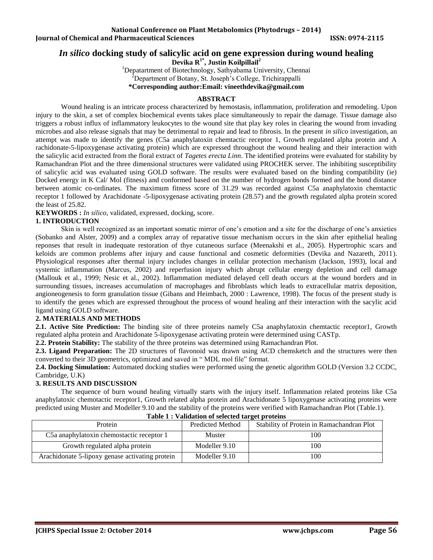# *In silico* **docking study of salicylic acid on gene expression during wound healing**

**Devika R 1\* , Justin Koilpillail<sup>2</sup>**

<sup>1</sup>Depatartment of Biotechnology, Sathyabama University, Chennai

<sup>2</sup>Department of Botany, St. Joseph's College, Trichirappalli

**\*Corresponding author:Email: [vineethdevika@gmail.com](mailto:vineethdevika@gmail.com)**

#### **ABSTRACT**

Wound healing is an intricate process characterized by hemostasis, inflammation, proliferation and remodeling. Upon injury to the skin, a set of complex biochemical events takes place simultaneously to repair the damage. Tissue damage also triggers a robust influx of inflammatory leukocytes to the wound site that play key roles in clearing the wound from invading microbes and also release signals that may be detrimental to repair and lead to fibrosis. In the present *in silico* investigation, an attempt was made to identify the genes (C5a anaphylatoxin chemtactic receptor 1, Growth regulated alpha protein and A rachidonate-5-lipoxygenase activating protein) which are expressed throughout the wound healing and their interaction with the salicylic acid extracted from the floral extract of *Tagetes erecta Linn*. The identified proteins were evaluated for stability by Ramachandran Plot and the three dimensional structures were validated using PROCHEK server. The inhibiting susceptibility of salicylic acid was evaluated using GOLD software. The results were evaluated based on the binding compatibility (ie) Docked energy in K Cal/ Mol (fitness) and conformed based on the number of hydrogen bonds formed and the bond distance between atomic co-ordinates. The maximum fitness score of 31.29 was recorded against C5a anaphylatoxin chemtactic receptor 1 followed by Arachidonate -5-lipoxygenase activating protein (28.57) and the growth regulated alpha protein scored the least of 25.82.

**KEYWORDS :** *In silico,* validated, expressed, docking, score.

## **1. INTRODUCTION**

Skin is well recognized as an important somatic mirror of one's emotion and a site for the discharge of one's anxieties (Sobanko and Alster, 2009) and a complex array of reparative tissue mechanism occurs in the skin after epithelial healing reponses that result in inadequate restoration of thye cutaneous surface (Meenakshi et al., 2005). Hypertrophic scars and keloids are common problems after injury and cause functional and cosmetic deformities (Devika and Nazareth, 2011). Physiological responses after thermal injury includes changes in cellular protection mechanism (Jackson, 1993), local and systemic inflammation (Marcus, 2002) and reperfusion injury which abrupt cellular energy depletion and cell damage (Mallouk et al., 1999; Nesic et al., 2002). Inflammation mediated delayed cell death occurs at the wound borders and in surrounding tissues, increases accumulation of macrophages and fibroblasts which leads to extracellular matrix deposition, angioneogenesis to form granulation tissue (Gibans and Heimbach, 2000 : Lawrence, 1998). The focus of the present study is to identify the genes which are expressed throughout the process of wound healing anf their interaction with the sacylic acid ligand using GOLD software.

## **2. MATERIALS AND METHODS**

**2.1. Active Site Prediction:** The binding site of three proteins namely C5a anaphylatoxin chemtactic receptor1, Growth regulated alpha protein and Arachidonate 5-lipoxygenase activating protein were determined using CASTp.

**2.2. Protein Stability:** The stability of the three proteins was determined using Ramachandran Plot.

**2.3. Ligand Preparation:** The 2D structures of flavonoid was drawn using ACD chemsketch and the structures were then converted to their 3D geometrics, optimized and saved in " MDL mol file" format.

**2.4. Docking Simulation:** Automated docking studies were performed using the genetic algorithm GOLD (Version 3.2 CCDC, Cambridge, U.K)

## **3. RESULTS AND DISCUSSION**

The sequence of burn wound healing virtually starts with the injury itself. Inflammation related proteins like C5a anaphylatoxic chemotactic receptor1, Growth related alpha protein and Arachidonate 5 lipoxygenase activating proteins were predicted using Muster and Modeller 9.10 and the stability of the proteins were verified with Ramachandran Plot (Table.1).

| Protein                                         | <b>Predicted Method</b> | Stability of Protein in Ramachandran Plot |  |
|-------------------------------------------------|-------------------------|-------------------------------------------|--|
| C5a anaphylatoxin chemostactic receptor 1       | Muster                  | 100                                       |  |
| Growth regulated alpha protein                  | Modeller 9.10           | 100                                       |  |
| Arachidonate 5-lipoxy genase activating protein | Modeller 9.10           | 100                                       |  |

#### **Table 1 : Validation of selected target proteins**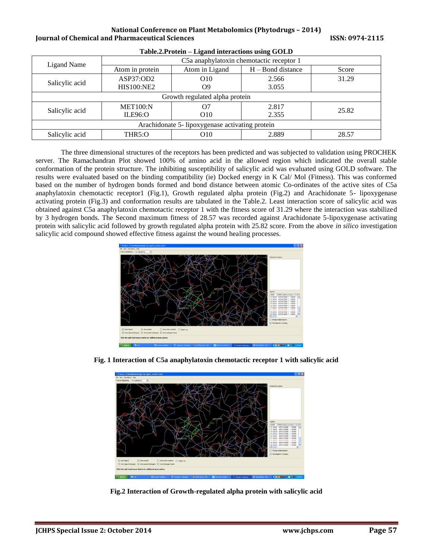#### **National Conference on Plant Metabolomics (Phytodrugs – 2014) Iournal of Chemical and Pharmaceutical Sciences ISSN: 0974-2115**

| Ligand Name                                     | -<br>C5a anaphylatoxin chemotactic receptor 1 |                 |                     |       |  |
|-------------------------------------------------|-----------------------------------------------|-----------------|---------------------|-------|--|
|                                                 | Atom in protein                               | Atom in Ligand  | $H - Bond distance$ | Score |  |
| Salicylic acid                                  | ASP37:OD2                                     | O <sub>10</sub> | 2.566               | 31.29 |  |
|                                                 | <b>HIS100:NE2</b>                             | O9              | 3.055               |       |  |
| Growth regulated alpha protein                  |                                               |                 |                     |       |  |
| Salicylic acid                                  | <b>MET100:N</b>                               | Ο7              | 2.817               | 25.82 |  |
|                                                 | <b>ILE96:O</b>                                | O <sub>10</sub> | 2.355               |       |  |
| Arachidonate 5- lipoxygenase activating protein |                                               |                 |                     |       |  |
| Salicylic acid                                  | THR5:O                                        | O <sub>10</sub> | 2.889               | 28.57 |  |

**Table.2.Protein – Ligand interactions using GOLD**

The three dimensional structures of the receptors has been predicted and was subjected to validation using PROCHEK server. The Ramachandran Plot showed 100% of amino acid in the allowed region which indicated the overall stable conformation of the protein structure. The inhibiting susceptibility of salicylic acid was evaluated using GOLD software. The results were evaluated based on the binding compatibility (ie) Docked energy in K Cal/ Mol (Fitness). This was conformed based on the number of hydrogen bonds formed and bond distance between atomic Co-ordinates of the active sites of C5a anaphylatoxin chemotactic receptor1 (Fig.1), Growth regulated alpha protein (Fig.2) and Arachidonate 5- lipoxygenase activating protein (Fig.3) and conformation results are tabulated in the Table.2. Least interaction score of salicylic acid was obtained against C5a anaphylatoxin chemotactic receptor 1 with the fitness score of 31.29 where the interaction was stabilized by 3 hydrogen bonds. The Second maximum fitness of 28.57 was recorded against Arachidonate 5-lipoxygenase activating protein with salicylic acid followed by growth regulated alpha protein with 25.82 score. From the above *in silico* investigation salicylic acid compound showed effective fitness against the wound healing processes.





**Fig. 1 Interaction of C5a anaphylatoxin chemotactic receptor 1 with salicylic acid**